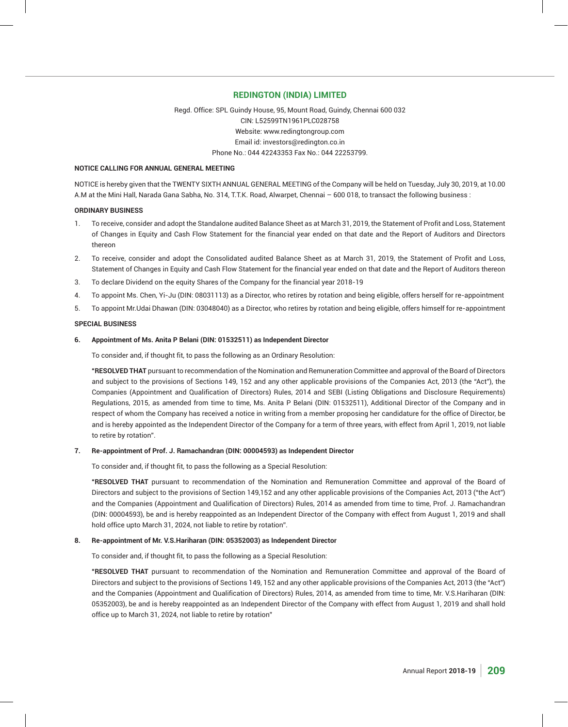## **REDINGTON (INDIA) LIMITED**

Regd. Office: SPL Guindy House, 95, Mount Road, Guindy, Chennai 600 032 CIN: L52599TN1961PLC028758 Website: www.redingtongroup.com Email id: investors@redington.co.in Phone No.: 044 42243353 Fax No.: 044 22253799.

## **NOTICE CALLING FOR ANNUAL GENERAL MEETING**

NOTICE is hereby given that the TWENTY SIXTH ANNUAL GENERAL MEETING of the Company will be held on Tuesday, July 30, 2019, at 10.00 A.M at the Mini Hall, Narada Gana Sabha, No. 314, T.T.K. Road, Alwarpet, Chennai – 600 018, to transact the following business :

## **ORDINARY BUSINESS**

- 1. To receive, consider and adopt the Standalone audited Balance Sheet as at March 31, 2019, the Statement of Profit and Loss, Statement of Changes in Equity and Cash Flow Statement for the financial year ended on that date and the Report of Auditors and Directors thereon
- 2. To receive, consider and adopt the Consolidated audited Balance Sheet as at March 31, 2019, the Statement of Profit and Loss, Statement of Changes in Equity and Cash Flow Statement for the financial year ended on that date and the Report of Auditors thereon
- 3. To declare Dividend on the equity Shares of the Company for the financial year 2018-19
- 4. To appoint Ms. Chen, Yi-Ju (DIN: 08031113) as a Director, who retires by rotation and being eligible, offers herself for re-appointment
- 5. To appoint Mr.Udai Dhawan (DIN: 03048040) as a Director, who retires by rotation and being eligible, offers himself for re-appointment

#### **SPECIAL BUSINESS**

#### **6. Appointment of Ms. Anita P Belani (DIN: 01532511) as Independent Director**

To consider and, if thought fit, to pass the following as an Ordinary Resolution:

 **"RESOLVED THAT** pursuant to recommendation of the Nomination and Remuneration Committee and approval of the Board of Directors and subject to the provisions of Sections 149, 152 and any other applicable provisions of the Companies Act, 2013 (the "Act"), the Companies (Appointment and Qualification of Directors) Rules, 2014 and SEBI (Listing Obligations and Disclosure Requirements) Regulations, 2015, as amended from time to time, Ms. Anita P Belani (DIN: 01532511), Additional Director of the Company and in respect of whom the Company has received a notice in writing from a member proposing her candidature for the office of Director, be and is hereby appointed as the Independent Director of the Company for a term of three years, with effect from April 1, 2019, not liable to retire by rotation".

## **7. Re-appointment of Prof. J. Ramachandran (DIN: 00004593) as Independent Director**

To consider and, if thought fit, to pass the following as a Special Resolution:

 **"RESOLVED THAT** pursuant to recommendation of the Nomination and Remuneration Committee and approval of the Board of Directors and subject to the provisions of Section 149,152 and any other applicable provisions of the Companies Act, 2013 ("the Act") and the Companies (Appointment and Qualification of Directors) Rules, 2014 as amended from time to time, Prof. J. Ramachandran (DIN: 00004593), be and is hereby reappointed as an Independent Director of the Company with effect from August 1, 2019 and shall hold office upto March 31, 2024, not liable to retire by rotation".

## **8. Re-appointment of Mr. V.S.Hariharan (DIN: 05352003) as Independent Director**

To consider and, if thought fit, to pass the following as a Special Resolution:

 **"RESOLVED THAT** pursuant to recommendation of the Nomination and Remuneration Committee and approval of the Board of Directors and subject to the provisions of Sections 149, 152 and any other applicable provisions of the Companies Act, 2013 (the "Act") and the Companies (Appointment and Qualification of Directors) Rules, 2014, as amended from time to time, Mr. V.S.Hariharan (DIN: 05352003), be and is hereby reappointed as an Independent Director of the Company with effect from August 1, 2019 and shall hold office up to March 31, 2024, not liable to retire by rotation"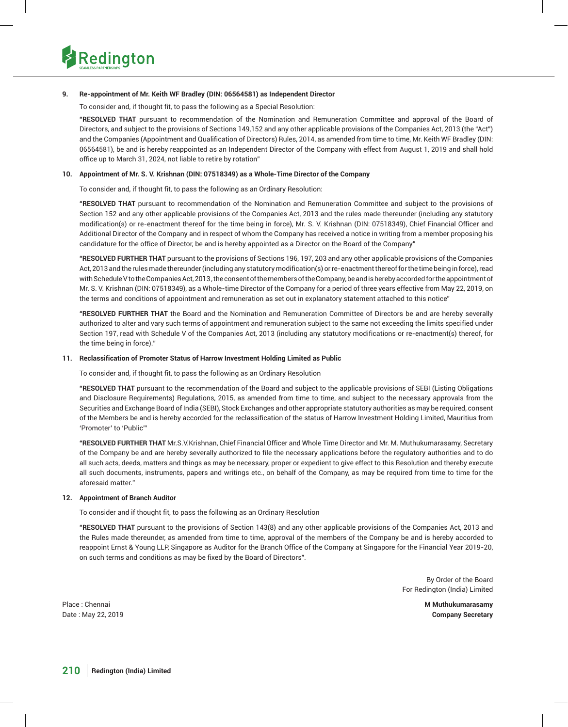

## **9. Re-appointment of Mr. Keith WF Bradley (DIN: 06564581) as Independent Director**

To consider and, if thought fit, to pass the following as a Special Resolution:

 **"RESOLVED THAT** pursuant to recommendation of the Nomination and Remuneration Committee and approval of the Board of Directors, and subject to the provisions of Sections 149,152 and any other applicable provisions of the Companies Act, 2013 (the "Act") and the Companies (Appointment and Qualification of Directors) Rules, 2014, as amended from time to time, Mr. Keith WF Bradley (DIN: 06564581), be and is hereby reappointed as an Independent Director of the Company with effect from August 1, 2019 and shall hold office up to March 31, 2024, not liable to retire by rotation"

## **10. Appointment of Mr. S. V. Krishnan (DIN: 07518349) as a Whole-Time Director of the Company**

To consider and, if thought fit, to pass the following as an Ordinary Resolution:

 **"RESOLVED THAT** pursuant to recommendation of the Nomination and Remuneration Committee and subject to the provisions of Section 152 and any other applicable provisions of the Companies Act, 2013 and the rules made thereunder (including any statutory modification(s) or re-enactment thereof for the time being in force), Mr. S. V. Krishnan (DIN: 07518349), Chief Financial Officer and Additional Director of the Company and in respect of whom the Company has received a notice in writing from a member proposing his candidature for the office of Director, be and is hereby appointed as a Director on the Board of the Company"

 **"RESOLVED FURTHER THAT** pursuant to the provisions of Sections 196, 197, 203 and any other applicable provisions of the Companies Act, 2013 and the rules made thereunder (including any statutory modification(s) or re-enactment thereof for the time being in force), read with Schedule V to the Companies Act, 2013 , the consent of the members of the Company, be and is hereby accorded for the appointment of Mr. S. V. Krishnan (DIN: 07518349), as a Whole-time Director of the Company for a period of three years effective from May 22, 2019, on the terms and conditions of appointment and remuneration as set out in explanatory statement attached to this notice"

 **"RESOLVED FURTHER THAT** the Board and the Nomination and Remuneration Committee of Directors be and are hereby severally authorized to alter and vary such terms of appointment and remuneration subject to the same not exceeding the limits specified under Section 197, read with Schedule V of the Companies Act, 2013 (including any statutory modifications or re-enactment(s) thereof, for the time being in force)."

## **11. Reclassification of Promoter Status of Harrow Investment Holding Limited as Public**

To consider and, if thought fit, to pass the following as an Ordinary Resolution

 **"RESOLVED THAT** pursuant to the recommendation of the Board and subject to the applicable provisions of SEBI (Listing Obligations and Disclosure Requirements) Regulations, 2015, as amended from time to time, and subject to the necessary approvals from the Securities and Exchange Board of India (SEBI), Stock Exchanges and other appropriate statutory authorities as may be required, consent of the Members be and is hereby accorded for the reclassification of the status of Harrow Investment Holding Limited, Mauritius from 'Promoter' to 'Public'"

 **"RESOLVED FURTHER THAT** Mr.S.V.Krishnan, Chief Financial Officer and Whole Time Director and Mr. M. Muthukumarasamy, Secretary of the Company be and are hereby severally authorized to file the necessary applications before the regulatory authorities and to do all such acts, deeds, matters and things as may be necessary, proper or expedient to give effect to this Resolution and thereby execute all such documents, instruments, papers and writings etc., on behalf of the Company, as may be required from time to time for the aforesaid matter."

## **12. Appointment of Branch Auditor**

To consider and if thought fit, to pass the following as an Ordinary Resolution

 **"RESOLVED THAT** pursuant to the provisions of Section 143(8) and any other applicable provisions of the Companies Act, 2013 and the Rules made thereunder, as amended from time to time, approval of the members of the Company be and is hereby accorded to reappoint Ernst & Young LLP, Singapore as Auditor for the Branch Office of the Company at Singapore for the Financial Year 2019-20, on such terms and conditions as may be fixed by the Board of Directors".

> By Order of the Board For Redington (India) Limited

Date : May 22, 2019 **Company Secretary**

Place : Chennai **M Muthukumarasamy**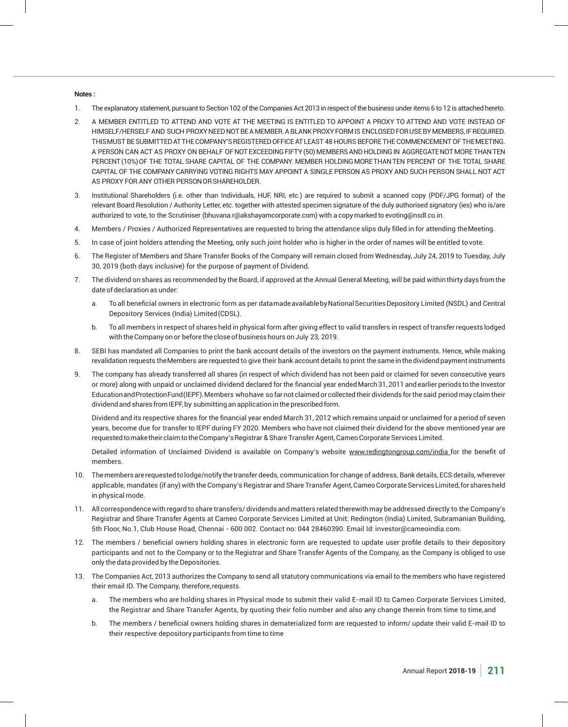## **Notes :**

- 1. The explanatory statement, pursuant to Section 102 of the Companies Act 2013 in respect of the business under items 6 to 12 is attached hereto.
- 2. A MEMBER ENTITLED TO ATTEND AND VOTE AT THE MEETING IS ENTITLED TO APPOINT A PROXY TO ATTEND AND VOTE INSTEAD OF HIMSELF/HERSELF AND SUCH PROXY NEED NOT BE A MEMBER. A BLANK PROXY FORM IS ENCLOSED FOR USE BY MEMBERS, IF REQUIRED. THIS MUST BE SUBMITTED AT THE COMPANY'S REGISTERED OFFICE AT LEAST 48 HOURS BEFORE THE COMMENCEMENT OF THE MEETING. A PERSON CAN ACT AS PROXY ON BEHALF OF NOT EXCEEDING FIFTY (50) MEMBERS AND HOLDING IN AGGREGATE NOT MORE THAN TEN PERCENT (10%) OF THE TOTAL SHARE CAPITAL OF THE COMPANY. MEMBER HOLDING MORE THAN TEN PERCENT OF THE TOTAL SHARE CAPITAL OF THE COMPANY CARRYING VOTING RIGHTS MAY APPOINT A SINGLE PERSON AS PROXY AND SUCH PERSON SHALL NOT ACT AS PROXY FOR ANY OTHER PERSON OR SHAREHOLDER.
- 3. Institutional Shareholders (i.e. other than Individuals, HUF, NRI, etc.) are required to submit a scanned copy (PDF/JPG format) of the relevant Board Resolution / Authority Letter, etc. together with attested specimen signature of the duly authorised signatory (ies) who is/are authorized to vote, to the Scrutiniser (bhuvana.r@akshayamcorporate.com) with a copy marked to evoting@nsdl.co.in.
- 4. Members / Proxies / Authorized Representatives are requested to bring the attendance slips duly filled in for attending the Meeting.
- 5. In case of joint holders attending the Meeting, only such joint holder who is higher in the order of names will be entitled to vote.
- 6. The Register of Members and Share Transfer Books of the Company will remain closed from Wednesday, July 24, 2019 to Tuesday, July 30, 2019 (both days inclusive) for the purpose of payment of Dividend.
- 7. The dividend on shares as recommended by the Board, if approved at the Annual General Meeting, will be paid within thirty days from the date of declaration as under:
	- a. To all beneficial owners in electronic form as per datamadeavailablebyNational Securities Depository Limited (NSDL) and Central Depository Services (India) Limited (CDSL).
	- b. To all members in respect of shares held in physical form after giving effect to valid transfers in respect of transfer requests lodged with the Company on or before the close of business hours on July 23, 2019.
- 8. SEBI has mandated all Companies to print the bank account details of the investors on the payment instruments. Hence, while making revalidation requests the Members are requested to give their bank account details to print the same in the dividend payment instruments
- 9. The company has already transferred all shares (in respect of which dividend has not been paid or claimed for seven consecutive years or more) along with unpaid or unclaimed dividend declared for the financial year ended March 31, 2011 and earlier periods to the Investor Education and Protection Fund (IEPF). Members who have so far not claimed or collected their dividends for the said period may claim their dividend and shares from IEPF, by submitting an application in the prescribed form.

Dividend and its respective shares for the financial year ended March 31, 2012 which remains unpaid or unclaimed for a period of seven years, become due for transfer to IEPF during FY 2020. Members who have not claimed their dividend for the above mentioned year are requested to make their claim to the Company's Registrar & Share Transfer Agent, Cameo Corporate Services Limited.

 Detailed information of Unclaimed Dividend is available on Company's website www.redingtongroup.com/india for the benefit of members.

- 10. The members are requested to lodge/notify the transfer deeds, communication for change of address, Bank details, ECS details, wherever applicable, mandates (if any) with the Company's Registrar and Share Transfer Agent, Cameo Corporate Services Limited, for shares held in physical mode.
- 11. All correspondence with regard to share transfers/ dividends and matters related therewith may be addressed directly to the Company's Registrar and Share Transfer Agents at Cameo Corporate Services Limited at Unit: Redington (India) Limited, Subramanian Building, 5th Floor, No.1, Club House Road, Chennai - 600 002. Contact no: 044 28460390. Email Id: investor@cameoindia.com.
- 12. The members / beneficial owners holding shares in electronic form are requested to update user profile details to their depository participants and not to the Company or to the Registrar and Share Transfer Agents of the Company, as the Company is obliged to use only the data provided by the Depositories.
- 13. The Companies Act, 2013 authorizes the Company to send all statutory communications via email to the members who have registered their email ID. The Company, therefore, requests.
	- a. The members who are holding shares in Physical mode to submit their valid E-mail ID to Cameo Corporate Services Limited, the Registrar and Share Transfer Agents, by quoting their folio number and also any change therein from time to time, and
	- b. The members / beneficial owners holding shares in dematerialized form are requested to inform/ update their valid E-mail ID to their respective depository participants from time to time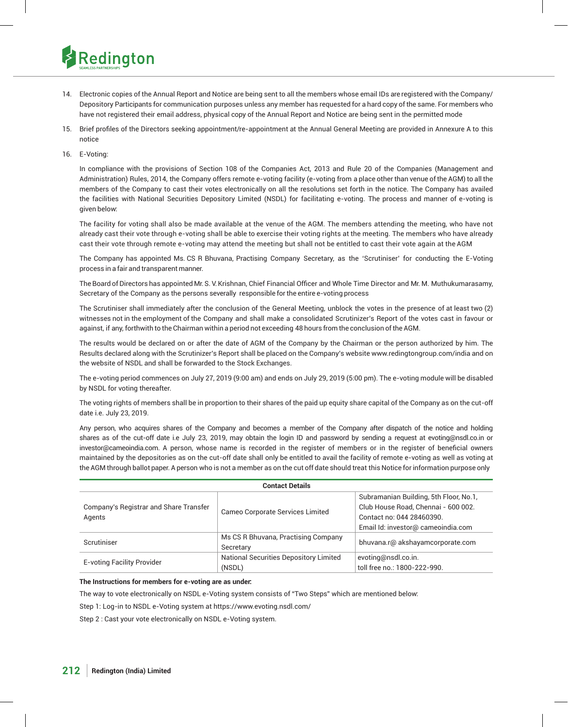

- 14. Electronic copies of the Annual Report and Notice are being sent to all the members whose email IDs are registered with the Company/ Depository Participants for communication purposes unless any member has requested for a hard copy of the same. For members who have not registered their email address, physical copy of the Annual Report and Notice are being sent in the permitted mode
- 15. Brief profiles of the Directors seeking appointment/re-appointment at the Annual General Meeting are provided in Annexure A to this notice
- 16. E-Voting:

 In compliance with the provisions of Section 108 of the Companies Act, 2013 and Rule 20 of the Companies (Management and Administration) Rules, 2014, the Company offers remote e-voting facility (e-voting from a place other than venue of the AGM) to all the members of the Company to cast their votes electronically on all the resolutions set forth in the notice. The Company has availed the facilities with National Securities Depository Limited (NSDL) for facilitating e-voting. The process and manner of e-voting is given below:

 The facility for voting shall also be made available at the venue of the AGM. The members attending the meeting, who have not already cast their vote through e-voting shall be able to exercise their voting rights at the meeting. The members who have already cast their vote through remote e-voting may attend the meeting but shall not be entitled to cast their vote again at the AGM

 The Company has appointed Ms. CS R Bhuvana, Practising Company Secretary, as the 'Scrutiniser' for conducting the E-Voting process in a fair and transparent manner.

The Board of Directors has appointed Mr.S. V.Krishnan, Chief Financial Officer and Whole Time Director and Mr. M. Muthukumarasamy, Secretary of the Company as the persons severally responsible for the entire e-voting process

 The Scrutiniser shall immediately after the conclusion of the General Meeting, unblock the votes in the presence of at least two (2) witnesses not in the employment of the Company and shall make a consolidated Scrutinizer's Report of the votes cast in favour or against, if any, forthwith to the Chairman within a period not exceeding 48 hours from the conclusion of the AGM.

 The results would be declared on or after the date of AGM of the Company by the Chairman or the person authorized by him. The Results declared along with the Scrutinizer's Report shall be placed on the Company's website www.redingtongroup.com/india and on the website of NSDL and shall be forwarded to the Stock Exchanges.

 The e-voting period commences on July 27, 2019 (9:00 am) and ends on July 29, 2019 (5:00 pm). The e-voting module will be disabled by NSDL for voting thereafter.

 The voting rights of members shall be in proportion to their shares of the paid up equity share capital of the Company as on the cut-off date i.e. July 23, 2019.

 Any person, who acquires shares of the Company and becomes a member of the Company after dispatch of the notice and holding shares as of the cut-off date i.e July 23, 2019, may obtain the login ID and password by sending a request at evoting@nsdl.co.in or investor@cameoindia.com. A person, whose name is recorded in the register of members or in the register of beneficial owners maintained by the depositories as on the cut-off date shall only be entitled to avail the facility of remote e-voting as well as voting at the AGM through ballot paper. A person who is not a member as on the cut off date should treat this Notice for information purpose only

|                                                  | <b>Contact Details</b>                           |                                                                                                                                                  |
|--------------------------------------------------|--------------------------------------------------|--------------------------------------------------------------------------------------------------------------------------------------------------|
| Company's Registrar and Share Transfer<br>Agents | Cameo Corporate Services Limited                 | Subramanian Building, 5th Floor, No.1,<br>Club House Road, Chennai - 600 002.<br>Contact no: 044 28460390.<br>Email Id: investor@ cameoindia.com |
| Scrutiniser                                      | Ms CS R Bhuvana, Practising Company<br>Secretary | bhuvana.r@ akshayamcorporate.com                                                                                                                 |
| <b>E-voting Facility Provider</b>                | National Securities Depository Limited<br>(NSDL) | evoting@nsdl.co.in.<br>toll free no.: 1800-222-990.                                                                                              |

## **The Instructions for members for e-voting are as under:**

The way to vote electronically on NSDL e-Voting system consists of "Two Steps" which are mentioned below:

Step 1: Log-in to NSDL e-Voting system at https://www.evoting.nsdl.com/

Step 2 : Cast your vote electronically on NSDL e-Voting system.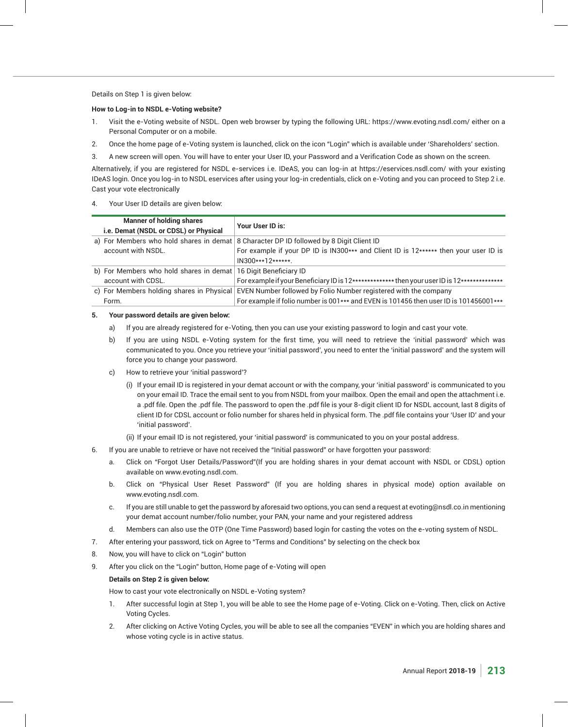Details on Step 1 is given below:

## **How to Log-in to NSDL e-Voting website?**

- 1. Visit the e-Voting website of NSDL. Open web browser by typing the following URL: https://www.evoting.nsdl.com/ either on a Personal Computer or on a mobile.
- 2. Once the home page of e-Voting system is launched, click on the icon "Login" which is available under 'Shareholders' section.
- 3. A new screen will open. You will have to enter your User ID, your Password and a Verification Code as shown on the screen.

 Alternatively, if you are registered for NSDL e-services i.e. IDeAS, you can log-in at https://eservices.nsdl.com/ with your existing IDeAS login. Once you log-in to NSDL eservices after using your log-in credentials, click on e-Voting and you can proceed to Step 2 i.e. Cast your vote electronically

## 4. Your User ID details are given below:

| <b>Manner of holding shares</b><br>i.e. Demat (NSDL or CDSL) or Physical | Your User ID is:                                                                                           |
|--------------------------------------------------------------------------|------------------------------------------------------------------------------------------------------------|
|                                                                          | a) For Members who hold shares in demat 8 Character DP ID followed by 8 Digit Client ID                    |
| account with NSDL.                                                       | For example if your DP ID is IN300*** and Client ID is 12****** then your user ID is                       |
|                                                                          | $IN300***12******$                                                                                         |
| b) For Members who hold shares in demat 16 Digit Beneficiary ID          |                                                                                                            |
| account with CDSL.                                                       | For example if your Beneficiary ID is 12*************** then your user ID is 12**************              |
|                                                                          | c) For Members holding shares in Physical EVEN Number followed by Folio Number registered with the company |
| Form.                                                                    | For example if folio number is 001*** and EVEN is 101456 then user ID is 101456001***                      |

## **5. Your password details are given below:**

- a) If you are already registered for e-Voting, then you can use your existing password to login and cast your vote.
- b) If you are using NSDL e-Voting system for the first time, you will need to retrieve the 'initial password' which was communicated to you. Once you retrieve your 'initial password', you need to enter the 'initial password' and the system will force you to change your password.
- c) How to retrieve your 'initial password'?
	- (i) If your email ID is registered in your demat account or with the company, your 'initial password' is communicated to you on your email ID. Trace the email sent to you from NSDL from your mailbox. Open the email and open the attachment i.e. a .pdf file. Open the .pdf file. The password to open the .pdf file is your 8-digit client ID for NSDL account, last 8 digits of client ID for CDSL account or folio number for shares held in physical form. The .pdf file contains your 'User ID' and your 'initial password'.
	- (ii) If your email ID is not registered, your 'initial password' is communicated to you on your postal address.
- 6. If you are unable to retrieve or have not received the "Initial password" or have forgotten your password:
	- a. Click on "Forgot User Details/Password"(If you are holding shares in your demat account with NSDL or CDSL) option available on www.evoting.nsdl.com.
	- b. Click on "Physical User Reset Password" (If you are holding shares in physical mode) option available on www.evoting.nsdl.com.
	- c. If you are still unable to get the password by aforesaid two options, you can send a request at evoting@nsdl.co.in mentioning your demat account number/folio number, your PAN, your name and your registered address
	- d. Members can also use the OTP (One Time Password) based login for casting the votes on the e-voting system of NSDL.
- 7. After entering your password, tick on Agree to "Terms and Conditions" by selecting on the check box
- 8. Now, you will have to click on "Login" button
- 9. After you click on the "Login" button, Home page of e-Voting will open

## **Details on Step 2 is given below:**

How to cast your vote electronically on NSDL e-Voting system?

- 1. After successful login at Step 1, you will be able to see the Home page of e-Voting. Click on e-Voting. Then, click on Active Voting Cycles.
- 2. After clicking on Active Voting Cycles, you will be able to see all the companies "EVEN" in which you are holding shares and whose voting cycle is in active status.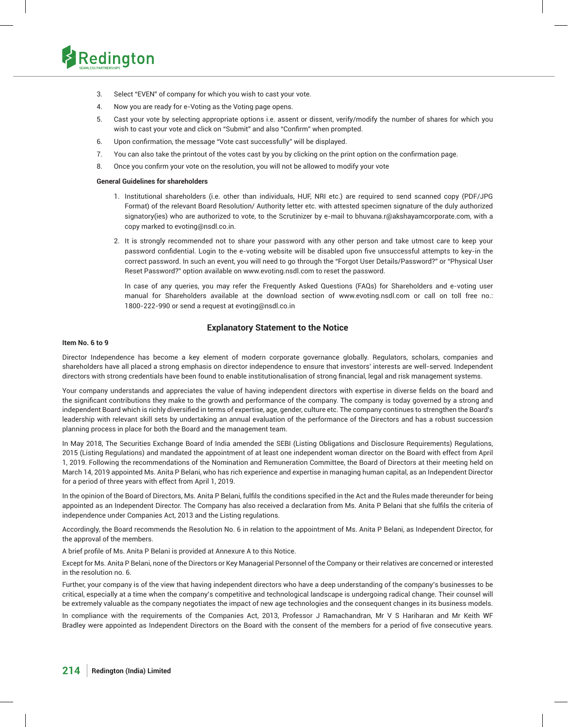

- 3. Select "EVEN" of company for which you wish to cast your vote.
- 4. Now you are ready for e-Voting as the Voting page opens.
- 5. Cast your vote by selecting appropriate options i.e. assent or dissent, verify/modify the number of shares for which you wish to cast your vote and click on "Submit" and also "Confirm" when prompted.
- 6. Upon confirmation, the message "Vote cast successfully" will be displayed.
- 7. You can also take the printout of the votes cast by you by clicking on the print option on the confirmation page.
- 8. Once you confirm your vote on the resolution, you will not be allowed to modify your vote

## **General Guidelines for shareholders**

- 1. Institutional shareholders (i.e. other than individuals, HUF, NRI etc.) are required to send scanned copy (PDF/JPG Format) of the relevant Board Resolution/ Authority letter etc. with attested specimen signature of the duly authorized signatory(ies) who are authorized to vote, to the Scrutinizer by e-mail to bhuvana.r@akshayamcorporate.com, with a copy marked to evoting@nsdl.co.in.
- 2. It is strongly recommended not to share your password with any other person and take utmost care to keep your password confidential. Login to the e-voting website will be disabled upon five unsuccessful attempts to key-in the correct password. In such an event, you will need to go through the "Forgot User Details/Password?" or "Physical User Reset Password?" option available on www.evoting.nsdl.com to reset the password.

 In case of any queries, you may refer the Frequently Asked Questions (FAQs) for Shareholders and e-voting user manual for Shareholders available at the download section of www.evoting.nsdl.com or call on toll free no.: 1800-222-990 or send a request at evoting@nsdl.co.in

## **Explanatory Statement to the Notice**

#### **Item No. 6 to 9**

Director Independence has become a key element of modern corporate governance globally. Regulators, scholars, companies and shareholders have all placed a strong emphasis on director independence to ensure that investors' interests are well-served. Independent directors with strong credentials have been found to enable institutionalisation of strong financial, legal and risk management systems.

Your company understands and appreciates the value of having independent directors with expertise in diverse fields on the board and the significant contributions they make to the growth and performance of the company. The company is today governed by a strong and independent Board which is richly diversified in terms of expertise, age, gender, culture etc. The company continues to strengthen the Board's leadership with relevant skill sets by undertaking an annual evaluation of the performance of the Directors and has a robust succession planning process in place for both the Board and the management team.

In May 2018, The Securities Exchange Board of India amended the SEBI (Listing Obligations and Disclosure Requirements) Regulations, 2015 (Listing Regulations) and mandated the appointment of at least one independent woman director on the Board with effect from April 1, 2019. Following the recommendations of the Nomination and Remuneration Committee, the Board of Directors at their meeting held on March 14, 2019 appointed Ms. Anita P Belani, who has rich experience and expertise in managing human capital, as an Independent Director for a period of three years with effect from April 1, 2019.

In the opinion of the Board of Directors, Ms. Anita P Belani, fulfils the conditions specified in the Act and the Rules made thereunder for being appointed as an Independent Director. The Company has also received a declaration from Ms. Anita P Belani that she fulfils the criteria of independence under Companies Act, 2013 and the Listing regulations.

Accordingly, the Board recommends the Resolution No. 6 in relation to the appointment of Ms. Anita P Belani, as Independent Director, for the approval of the members.

A brief profile of Ms. Anita P Belani is provided at Annexure A to this Notice.

Except for Ms. Anita P Belani, none of the Directors or Key Managerial Personnel of the Company or their relatives are concerned or interested in the resolution no. 6.

Further, your company is of the view that having independent directors who have a deep understanding of the company's businesses to be critical, especially at a time when the company's competitive and technological landscape is undergoing radical change. Their counsel will be extremely valuable as the company negotiates the impact of new age technologies and the consequent changes in its business models.

In compliance with the requirements of the Companies Act, 2013, Professor J Ramachandran, Mr V S Hariharan and Mr Keith WF Bradley were appointed as Independent Directors on the Board with the consent of the members for a period of five consecutive years.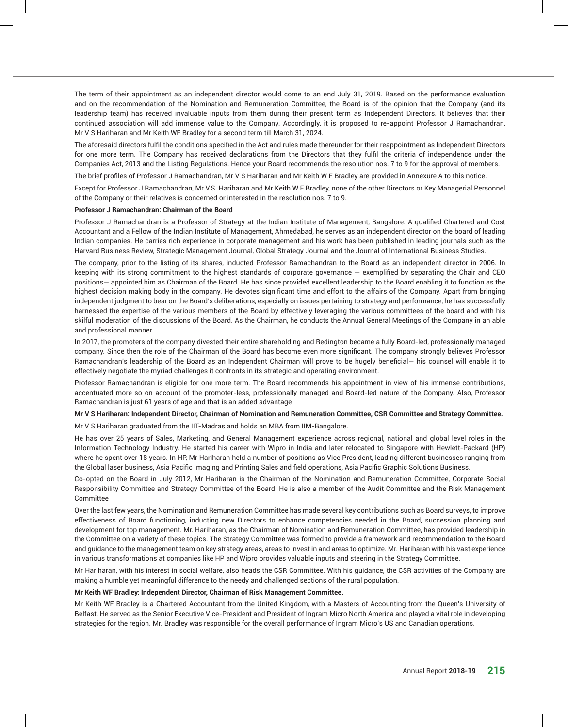The term of their appointment as an independent director would come to an end July 31, 2019. Based on the performance evaluation and on the recommendation of the Nomination and Remuneration Committee, the Board is of the opinion that the Company (and its leadership team) has received invaluable inputs from them during their present term as Independent Directors. It believes that their continued association will add immense value to the Company. Accordingly, it is proposed to re-appoint Professor J Ramachandran, Mr V S Hariharan and Mr Keith WF Bradley for a second term till March 31, 2024.

The aforesaid directors fulfil the conditions specified in the Act and rules made thereunder for their reappointment as Independent Directors for one more term. The Company has received declarations from the Directors that they fulfil the criteria of independence under the Companies Act, 2013 and the Listing Regulations. Hence your Board recommends the resolution nos. 7 to 9 for the approval of members.

The brief profiles of Professor J Ramachandran, Mr V S Hariharan and Mr Keith W F Bradley are provided in Annexure A to this notice.

Except for Professor J Ramachandran, Mr V.S. Hariharan and Mr Keith W F Bradley, none of the other Directors or Key Managerial Personnel of the Company or their relatives is concerned or interested in the resolution nos. 7 to 9.

#### **Professor J Ramachandran: Chairman of the Board**

Professor J Ramachandran is a Professor of Strategy at the Indian Institute of Management, Bangalore. A qualified Chartered and Cost Accountant and a Fellow of the Indian Institute of Management, Ahmedabad, he serves as an independent director on the board of leading Indian companies. He carries rich experience in corporate management and his work has been published in leading journals such as the Harvard Business Review, Strategic Management Journal, Global Strategy Journal and the Journal of International Business Studies.

The company, prior to the listing of its shares, inducted Professor Ramachandran to the Board as an independent director in 2006. In keeping with its strong commitment to the highest standards of corporate governance — exemplified by separating the Chair and CEO positions— appointed him as Chairman of the Board. He has since provided excellent leadership to the Board enabling it to function as the highest decision making body in the company. He devotes significant time and effort to the affairs of the Company. Apart from bringing independent judgment to bear on the Board's deliberations, especially on issues pertaining to strategy and performance, he has successfully harnessed the expertise of the various members of the Board by effectively leveraging the various committees of the board and with his skilful moderation of the discussions of the Board. As the Chairman, he conducts the Annual General Meetings of the Company in an able and professional manner.

In 2017, the promoters of the company divested their entire shareholding and Redington became a fully Board-led, professionally managed company. Since then the role of the Chairman of the Board has become even more significant. The company strongly believes Professor Ramachandran's leadership of the Board as an Independent Chairman will prove to be hugely beneficial— his counsel will enable it to effectively negotiate the myriad challenges it confronts in its strategic and operating environment.

Professor Ramachandran is eligible for one more term. The Board recommends his appointment in view of his immense contributions, accentuated more so on account of the promoter-less, professionally managed and Board-led nature of the Company. Also, Professor Ramachandran is just 61 years of age and that is an added advantage

#### **Mr V S Hariharan: Independent Director, Chairman of Nomination and Remuneration Committee, CSR Committee and Strategy Committee.**

Mr V S Hariharan graduated from the IIT-Madras and holds an MBA from IIM-Bangalore.

He has over 25 years of Sales, Marketing, and General Management experience across regional, national and global level roles in the Information Technology Industry. He started his career with Wipro in India and later relocated to Singapore with Hewlett-Packard (HP) where he spent over 18 years. In HP, Mr Hariharan held a number of positions as Vice President, leading different businesses ranging from the Global laser business, Asia Pacific Imaging and Printing Sales and field operations, Asia Pacific Graphic Solutions Business.

Co-opted on the Board in July 2012, Mr Hariharan is the Chairman of the Nomination and Remuneration Committee, Corporate Social Responsibility Committee and Strategy Committee of the Board. He is also a member of the Audit Committee and the Risk Management **Committee** 

Over the last few years, the Nomination and Remuneration Committee has made several key contributions such as Board surveys, to improve effectiveness of Board functioning, inducting new Directors to enhance competencies needed in the Board, succession planning and development for top management. Mr. Hariharan, as the Chairman of Nomination and Remuneration Committee, has provided leadership in the Committee on a variety of these topics. The Strategy Committee was formed to provide a framework and recommendation to the Board and guidance to the management team on key strategy areas, areas to invest in and areas to optimize. Mr. Hariharan with his vast experience in various transformations at companies like HP and Wipro provides valuable inputs and steering in the Strategy Committee.

Mr Hariharan, with his interest in social welfare, also heads the CSR Committee. With his guidance, the CSR activities of the Company are making a humble yet meaningful difference to the needy and challenged sections of the rural population.

#### **Mr Keith WF Bradley: Independent Director, Chairman of Risk Management Committee.**

Mr Keith WF Bradley is a Chartered Accountant from the United Kingdom, with a Masters of Accounting from the Queen's University of Belfast. He served as the Senior Executive Vice-President and President of Ingram Micro North America and played a vital role in developing strategies for the region. Mr. Bradley was responsible for the overall performance of Ingram Micro's US and Canadian operations.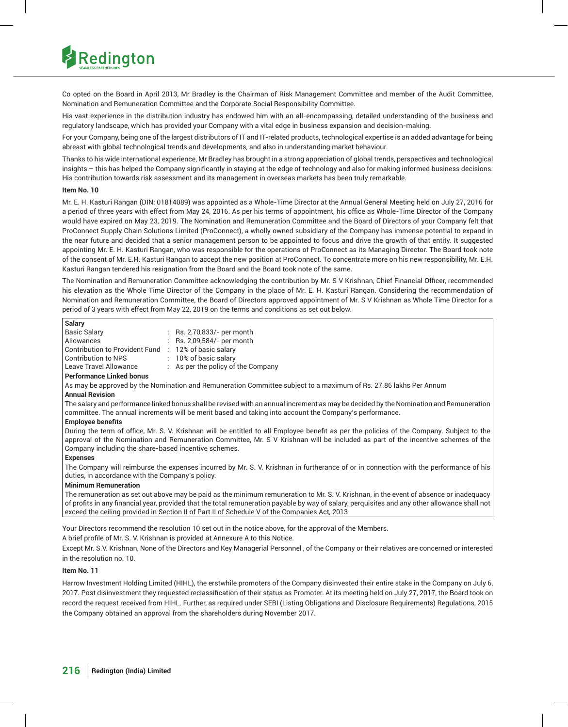

Co opted on the Board in April 2013, Mr Bradley is the Chairman of Risk Management Committee and member of the Audit Committee, Nomination and Remuneration Committee and the Corporate Social Responsibility Committee.

His vast experience in the distribution industry has endowed him with an all-encompassing, detailed understanding of the business and regulatory landscape, which has provided your Company with a vital edge in business expansion and decision-making.

For your Company, being one of the largest distributors of IT and IT-related products, technological expertise is an added advantage for being abreast with global technological trends and developments, and also in understanding market behaviour.

Thanks to his wide international experience, Mr Bradley has brought in a strong appreciation of global trends, perspectives and technological insights – this has helped the Company significantly in staying at the edge of technology and also for making informed business decisions. His contribution towards risk assessment and its management in overseas markets has been truly remarkable.

## **Item No. 10**

Mr. E. H. Kasturi Rangan (DIN: 01814089) was appointed as a Whole-Time Director at the Annual General Meeting held on July 27, 2016 for a period of three years with effect from May 24, 2016. As per his terms of appointment, his office as Whole-Time Director of the Company would have expired on May 23, 2019. The Nomination and Remuneration Committee and the Board of Directors of your Company felt that ProConnect Supply Chain Solutions Limited (ProConnect), a wholly owned subsidiary of the Company has immense potential to expand in the near future and decided that a senior management person to be appointed to focus and drive the growth of that entity. It suggested appointing Mr. E. H. Kasturi Rangan, who was responsible for the operations of ProConnect as its Managing Director. The Board took note of the consent of Mr. E.H. Kasturi Rangan to accept the new position at ProConnect. To concentrate more on his new responsibility, Mr. E.H. Kasturi Rangan tendered his resignation from the Board and the Board took note of the same.

The Nomination and Remuneration Committee acknowledging the contribution by Mr. S V Krishnan, Chief Financial Officer, recommended his elevation as the Whole Time Director of the Company in the place of Mr. E. H. Kasturi Rangan. Considering the recommendation of Nomination and Remuneration Committee, the Board of Directors approved appointment of Mr. S V Krishnan as Whole Time Director for a period of 3 years with effect from May 22, 2019 on the terms and conditions as set out below.

| Salary                                |                                               |
|---------------------------------------|-----------------------------------------------|
| <b>Basic Salary</b>                   | $\therefore$ Rs. 2,70,833/- per month         |
| Allowances                            | : Rs. 2,09,584/- per month                    |
| <b>Contribution to Provident Fund</b> | $: 12\%$ of basic salary                      |
| <b>Contribution to NPS</b>            | $\therefore$ 10% of basic salary              |
| Leave Travel Allowance                | $\therefore$ As per the policy of the Company |
|                                       |                                               |

#### **Performance Linked bonus**

As may be approved by the Nomination and Remuneration Committee subject to a maximum of Rs. 27.86 lakhs Per Annum

## **Annual Revision**

The salary and performance linked bonus shall be revised with an annual increment as may be decided by the Nomination and Remuneration committee. The annual increments will be merit based and taking into account the Company's performance.

#### **Employee benefits**

During the term of office, Mr. S. V. Krishnan will be entitled to all Employee benefit as per the policies of the Company. Subject to the approval of the Nomination and Remuneration Committee, Mr. S V Krishnan will be included as part of the incentive schemes of the Company including the share-based incentive schemes.

## **Expenses**

The Company will reimburse the expenses incurred by Mr. S. V. Krishnan in furtherance of or in connection with the performance of his duties, in accordance with the Company's policy.

#### **Minimum Remuneration**

The remuneration as set out above may be paid as the minimum remuneration to Mr. S. V. Krishnan, in the event of absence or inadequacy of profits in any financial year, provided that the total remuneration payable by way of salary, perquisites and any other allowance shall not exceed the ceiling provided in Section II of Part II of Schedule V of the Companies Act, 2013

Your Directors recommend the resolution 10 set out in the notice above, for the approval of the Members.

A brief profile of Mr. S. V. Krishnan is provided at Annexure A to this Notice.

Except Mr. S.V. Krishnan, None of the Directors and Key Managerial Personnel , of the Company or their relatives are concerned or interested in the resolution no. 10.

## **Item No. 11**

Harrow Investment Holding Limited (HIHL), the erstwhile promoters of the Company disinvested their entire stake in the Company on July 6, 2017. Post disinvestment they requested reclassification of their status as Promoter. At its meeting held on July 27, 2017, the Board took on record the request received from HIHL. Further, as required under SEBI (Listing Obligations and Disclosure Requirements) Regulations, 2015 the Company obtained an approval from the shareholders during November 2017.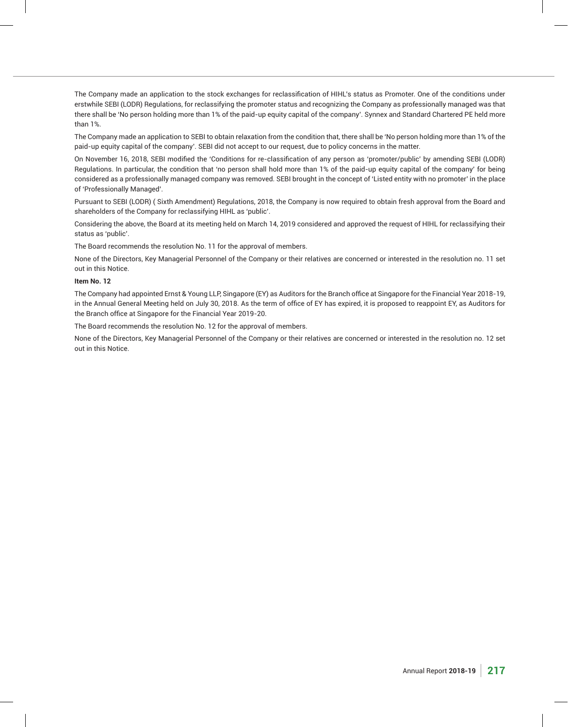The Company made an application to the stock exchanges for reclassification of HIHL's status as Promoter. One of the conditions under erstwhile SEBI (LODR) Regulations, for reclassifying the promoter status and recognizing the Company as professionally managed was that there shall be 'No person holding more than 1% of the paid-up equity capital of the company'. Synnex and Standard Chartered PE held more than 1%.

The Company made an application to SEBI to obtain relaxation from the condition that, there shall be 'No person holding more than 1% of the paid-up equity capital of the company'. SEBI did not accept to our request, due to policy concerns in the matter.

On November 16, 2018, SEBI modified the 'Conditions for re-classification of any person as 'promoter/public' by amending SEBI (LODR) Regulations. In particular, the condition that 'no person shall hold more than 1% of the paid-up equity capital of the company' for being considered as a professionally managed company was removed. SEBI brought in the concept of 'Listed entity with no promoter' in the place of 'Professionally Managed'.

Pursuant to SEBI (LODR) ( Sixth Amendment) Regulations, 2018, the Company is now required to obtain fresh approval from the Board and shareholders of the Company for reclassifying HIHL as 'public'.

Considering the above, the Board at its meeting held on March 14, 2019 considered and approved the request of HIHL for reclassifying their status as 'public'.

The Board recommends the resolution No. 11 for the approval of members.

None of the Directors, Key Managerial Personnel of the Company or their relatives are concerned or interested in the resolution no. 11 set out in this Notice.

#### **Item No. 12**

The Company had appointed Ernst & Young LLP, Singapore (EY) as Auditors for the Branch office at Singapore for the Financial Year 2018-19, in the Annual General Meeting held on July 30, 2018. As the term of office of EY has expired, it is proposed to reappoint EY, as Auditors for the Branch office at Singapore for the Financial Year 2019-20.

The Board recommends the resolution No. 12 for the approval of members.

None of the Directors, Key Managerial Personnel of the Company or their relatives are concerned or interested in the resolution no. 12 set out in this Notice.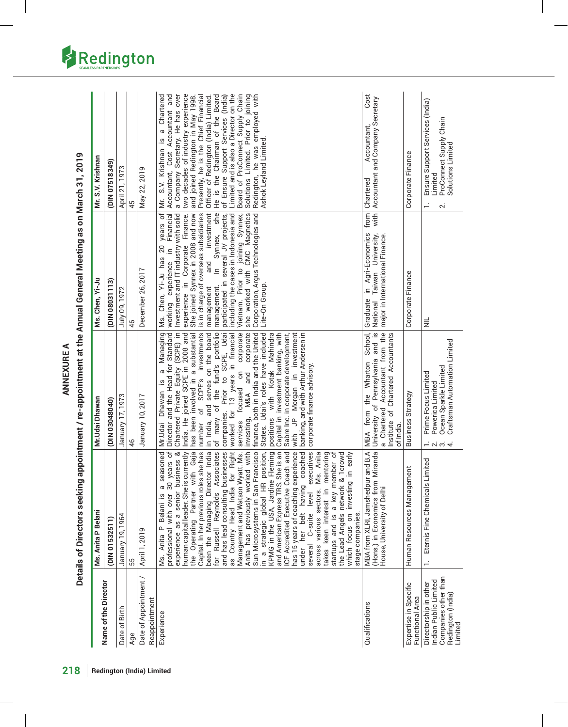|                                                                                                        | Ms. Anita P Belani                                                                                                                                                                                                                                                                                                                                                                                                                                                                                                                                                                                                                                                                                                                                                                                                                                                                                                                                                                                                                      | Mr.Udai Dhawan                                                                                                                                                                                                                                                                                                                                                                                                                                                                                                                                                                                                                                                                                                                                                                                    | Ms. Chen, Yi-Ju                                                                                                                                                                                                                                                                                                                                                                                                                                                                                                                            | Mr. S.V. Krishnan                                                                                                                                                                                                                                                                                                                                                                                                                                                                                                                  |
|--------------------------------------------------------------------------------------------------------|-----------------------------------------------------------------------------------------------------------------------------------------------------------------------------------------------------------------------------------------------------------------------------------------------------------------------------------------------------------------------------------------------------------------------------------------------------------------------------------------------------------------------------------------------------------------------------------------------------------------------------------------------------------------------------------------------------------------------------------------------------------------------------------------------------------------------------------------------------------------------------------------------------------------------------------------------------------------------------------------------------------------------------------------|---------------------------------------------------------------------------------------------------------------------------------------------------------------------------------------------------------------------------------------------------------------------------------------------------------------------------------------------------------------------------------------------------------------------------------------------------------------------------------------------------------------------------------------------------------------------------------------------------------------------------------------------------------------------------------------------------------------------------------------------------------------------------------------------------|--------------------------------------------------------------------------------------------------------------------------------------------------------------------------------------------------------------------------------------------------------------------------------------------------------------------------------------------------------------------------------------------------------------------------------------------------------------------------------------------------------------------------------------------|------------------------------------------------------------------------------------------------------------------------------------------------------------------------------------------------------------------------------------------------------------------------------------------------------------------------------------------------------------------------------------------------------------------------------------------------------------------------------------------------------------------------------------|
| Name of the Director                                                                                   |                                                                                                                                                                                                                                                                                                                                                                                                                                                                                                                                                                                                                                                                                                                                                                                                                                                                                                                                                                                                                                         |                                                                                                                                                                                                                                                                                                                                                                                                                                                                                                                                                                                                                                                                                                                                                                                                   |                                                                                                                                                                                                                                                                                                                                                                                                                                                                                                                                            |                                                                                                                                                                                                                                                                                                                                                                                                                                                                                                                                    |
|                                                                                                        | (DIN 01532511)                                                                                                                                                                                                                                                                                                                                                                                                                                                                                                                                                                                                                                                                                                                                                                                                                                                                                                                                                                                                                          | (DIN 03048040)                                                                                                                                                                                                                                                                                                                                                                                                                                                                                                                                                                                                                                                                                                                                                                                    | (DIN 08031113)                                                                                                                                                                                                                                                                                                                                                                                                                                                                                                                             | (DIN 07518349)                                                                                                                                                                                                                                                                                                                                                                                                                                                                                                                     |
| Date of Birth                                                                                          | January 19, 1964                                                                                                                                                                                                                                                                                                                                                                                                                                                                                                                                                                                                                                                                                                                                                                                                                                                                                                                                                                                                                        | January 17, 1973                                                                                                                                                                                                                                                                                                                                                                                                                                                                                                                                                                                                                                                                                                                                                                                  | July 09, 1972                                                                                                                                                                                                                                                                                                                                                                                                                                                                                                                              | April 21, 1973                                                                                                                                                                                                                                                                                                                                                                                                                                                                                                                     |
| Age                                                                                                    | 55                                                                                                                                                                                                                                                                                                                                                                                                                                                                                                                                                                                                                                                                                                                                                                                                                                                                                                                                                                                                                                      | 46                                                                                                                                                                                                                                                                                                                                                                                                                                                                                                                                                                                                                                                                                                                                                                                                | 46                                                                                                                                                                                                                                                                                                                                                                                                                                                                                                                                         | 45                                                                                                                                                                                                                                                                                                                                                                                                                                                                                                                                 |
| Date of Appointment /<br>Reappointment                                                                 | April 1, 2019                                                                                                                                                                                                                                                                                                                                                                                                                                                                                                                                                                                                                                                                                                                                                                                                                                                                                                                                                                                                                           | January 10, 2017                                                                                                                                                                                                                                                                                                                                                                                                                                                                                                                                                                                                                                                                                                                                                                                  | December 26, 2017                                                                                                                                                                                                                                                                                                                                                                                                                                                                                                                          | May 22, 2019                                                                                                                                                                                                                                                                                                                                                                                                                                                                                                                       |
| Experience                                                                                             | Capital. In her previous roles she has<br>the Operating Partner with Gaja<br>as Country Head India for Right<br>Anita has previously worked with<br>human capital leader. She is currently<br>been the Managing Director India<br>Russell Reynolds Associates<br>Sun Microsystems in San Francisco<br>seasoned<br>experience as a senior business &<br>and has lead consulting businesses<br>Management and Watson Wyatt. Ms.<br>position,<br>and American Express TRS. She is an<br>ICF Accredited Executive Coach and<br>has 15 years of coaching experience<br>coached<br>executives<br>years of<br>KPMG in the USA, Jardine Fleming<br>across various sectors. Ms. Anita<br>keen interest in mentoring<br>startups and is a key member of<br>the Lead Angels network & Tcrowd<br>in early<br>professional with over 30<br>which focus on investing<br>in a strategic global HR<br>$\sigma$<br>under her belt having<br>level<br>Ms. Anita P Belani is<br>stage companies.<br>C-suite<br>several<br>takes<br>$\overline{\mathsf{P}}$ | Managing<br>Chartered Private Equity (SCPE) in<br>India. He joined SCPE in 2008 and<br>investments<br>of the fund's portfolio<br>corporate<br>States. Udai's roles have included<br>has been involved in a substantial<br>corporate<br>positions with Kotak Mahindra<br>in investment<br>Director and the Head for Standard<br>in India, and serves on the board<br>SCPE, Udai<br>worked for 13 years in financial<br>finance, both in India and the United<br>Capital in investment banking, with<br>Sabre Inc. in corporate development,<br>banking, and with Arthur Andersen in<br>corporate finance advisory.<br>a<br>$\overline{5}$<br>and<br>Prior to<br>SCPE's<br>Mr.Udai Dhawan is<br>JP Morgan<br>focused<br>M&A<br>number of<br>companies.<br>of many<br>investing,<br>services<br>with | Ms. Chen, Yi-Ju has 20 years of<br>she  <br>is in charge of overseas subsidiaries<br>investment<br>Financial<br>Investment and IT industry with solid<br>experience in Corporate Finance.<br>She joined Synnex in 2008 and now<br>she worked with CMC Magnetics<br>including the cases in Indonesia and<br>Synnex,<br>Corporation, Argus Technologies and<br>participated in several JV projects,<br>In Synnex,<br>joining<br>$\equiv$<br>and<br>working experience<br>Prior to<br>Lite-On Group.<br>management.<br>management<br>Vietnam. | a Chartered<br>and<br>a Company Secretary. He has over<br>two decades of industry experience<br>Limited and is also a Director on the<br>Board of ProConnect Supply Chain<br>Solutions Limited. Prior to joining<br>Redington, he was employed with<br>He is the Chairman of the Board<br>of Ensure Support Services (India)<br>Presently, he is the Chief Financial<br>and joined Redington in May 1998.<br>Officer of Redington (India) Limited<br>Accountant, Cost Accountant<br>Mr. S.V. Krishnan is<br>Ashok Leyland Limited. |
| Qualifications                                                                                         | Miranda<br>MBA from XLRI, Jamshedpur and B.A<br>(Hons.) in Economics from<br>House, University of Delhi                                                                                                                                                                                                                                                                                                                                                                                                                                                                                                                                                                                                                                                                                                                                                                                                                                                                                                                                 | University of Pennsylvania and is<br>School,<br>Accountant from the<br>Institute of Chartered Accountants<br>MBA from the Wharton<br>a Chartered<br>of India.                                                                                                                                                                                                                                                                                                                                                                                                                                                                                                                                                                                                                                     | with  <br>from<br>Graduate in Agri-Economics<br>Taiwan University,<br>major in International Finance<br>National                                                                                                                                                                                                                                                                                                                                                                                                                           | Cost<br>Accountant and Company Secretary<br>Accountant,<br>Chartered                                                                                                                                                                                                                                                                                                                                                                                                                                                               |
| Expertise in Specific<br>Functional Area                                                               | Human Resources Management                                                                                                                                                                                                                                                                                                                                                                                                                                                                                                                                                                                                                                                                                                                                                                                                                                                                                                                                                                                                              | Business Strategy                                                                                                                                                                                                                                                                                                                                                                                                                                                                                                                                                                                                                                                                                                                                                                                 | Corporate Finance                                                                                                                                                                                                                                                                                                                                                                                                                                                                                                                          | Corporate Finance                                                                                                                                                                                                                                                                                                                                                                                                                                                                                                                  |
| Companies other than<br>Indian Public Limited<br>Directorship in other<br>Redington (India)<br>Limited | Eternis Fine Chemicals Limited<br>÷,                                                                                                                                                                                                                                                                                                                                                                                                                                                                                                                                                                                                                                                                                                                                                                                                                                                                                                                                                                                                    | Craftsman Automation Limited<br>Ocean Sparkle Limited<br>Prime Focus Limited<br>Powerica Limited<br>- 994                                                                                                                                                                                                                                                                                                                                                                                                                                                                                                                                                                                                                                                                                         | $\equiv$                                                                                                                                                                                                                                                                                                                                                                                                                                                                                                                                   | Ensure Support Services (India)<br>ProConnect Supply Chain<br>Solutions Limited<br>Limited<br>2.                                                                                                                                                                                                                                                                                                                                                                                                                                   |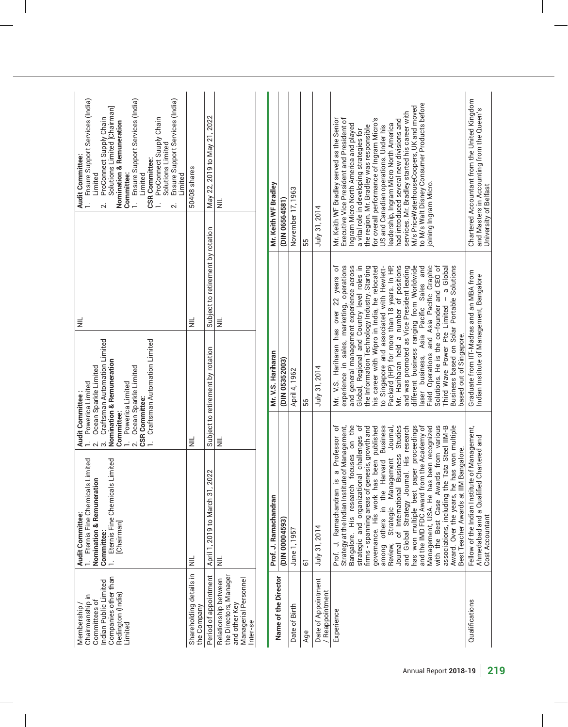| Ensure Support Services (India)<br>Ensure Support Services (India)<br>Ensure Support Services (India)<br>Solutions Limited [Chairman]<br>ProConnect Suuply Chain<br>ProConnect Supply Chain<br><b>Nomination &amp; Remuneration</b><br>Solutions Limited<br>Audit Committee:<br><b>CSR Committee:</b><br>Committee:<br>Limited<br>Limited<br>Limited<br>$\sim$<br>$\sim$ | 50408 shares                           | May 22, 2019 to May 21, 2022        | $\equiv$                                                                                            | Mr. Keith WF Bradley  | (DIN 06564581)       | November 17, 1963 | 55             | July 31, 2014                        | to M/s Walt Disney Consumer Products before<br>M/s PriceWaterhouseCoopers, UK and moved<br>services. Mr. Bradley started his career with<br>for overall performance of Ingram Micro's<br>Executive Vice President and President of<br>Mr. Keith WF Bradley served as the Senior<br>had introduced several new divisions and<br>Ingram Micro North America and played<br>leadership, Ingram Micro North America<br>US and Canadian operations. Under his<br>the region. Mr. Bradley was responsible<br>a vital role in developing strategies for<br>joining Ingram Micro.                                                                                                                                                                                                                             | Chartered Accountant from the United Kingdom<br>and Masters in Accounting from the Queen's<br>University of Belfast |
|--------------------------------------------------------------------------------------------------------------------------------------------------------------------------------------------------------------------------------------------------------------------------------------------------------------------------------------------------------------------------|----------------------------------------|-------------------------------------|-----------------------------------------------------------------------------------------------------|-----------------------|----------------------|-------------------|----------------|--------------------------------------|------------------------------------------------------------------------------------------------------------------------------------------------------------------------------------------------------------------------------------------------------------------------------------------------------------------------------------------------------------------------------------------------------------------------------------------------------------------------------------------------------------------------------------------------------------------------------------------------------------------------------------------------------------------------------------------------------------------------------------------------------------------------------------------------------|---------------------------------------------------------------------------------------------------------------------|
| $\equiv$                                                                                                                                                                                                                                                                                                                                                                 | $\equiv$                               | Subject to retirement by rotation   | $\equiv$                                                                                            |                       |                      |                   |                |                                      | business, Asia Pacific Sales and<br>- a Global                                                                                                                                                                                                                                                                                                                                                                                                                                                                                                                                                                                                                                                                                                                                                       |                                                                                                                     |
| Craftsman Automation Limited<br>Craftsman Automation Limited<br><b>Nomination &amp; Remuneration</b><br>Ocean Sparkle Limited<br>Ocean Sparkle Limited<br>Powerica Limited<br>Powerica Limited                                                                                                                                                                           |                                        | Subject to retirement by rotation   |                                                                                                     | Mr. V.S. Hariharan    | (DIN 05352003)       | April 4, 1962     | 56             | July 31, 2014                        | Mr. V.S. Hariharan has over 22 years of<br>experience in sales, marketing, operations<br>and general management experience across<br>Global, Regional and Country level roles in<br>Packard (HP) for more than 18 years. In HP,<br>Mr. Hariharan held a number of positions<br>different business ranging from Worldwide<br>the Information Technology Industry. Starting<br>his career with Wipro in India, he relocated<br>to Singapore and associated with Hewlett-<br>and was promoted as Vice President leading<br>Field Operations and Asia Pacific Graphic<br>Solutions. He is the co-founder and CEO of<br>Business based on Solar Portable Solutions<br>Third Wave Power Pte Limited<br>based out of Singapore.<br>laser                                                                    | Graduate from IIT-Madras and an MBA from<br>ndian Institute of Management, Bangalore                                |
| <b>Audit Committee:</b><br>1. Powerica Limit<br><b>CSR Committee:</b><br>Committee:<br>$\sim$<br>က<br>$\sim$<br>Eternis Fine Chemicals Limited<br>Eternis Fine Chemicals Limited<br><b>Nomination &amp; Remuneration</b><br>Audit Committee:<br>[Chairman]<br>Committee:<br>$\frac{1}{2}$                                                                                | $\equiv$<br>$\equiv$                   | 22<br>April 1, 2019 to March 31, 20 | $\equiv$<br>$\equiv$                                                                                | Prof. J. Ramachandran | (DIN 00004593)       | June 1, 1957      | $\overline{6}$ | July 31, 2014                        | focuses on the<br>governance. His work has been published<br>among others in the Harvard Business<br>associations, including the Tata Steel IIM-B<br>a Professor of<br>Strategy at the Indian Institute of Management,<br>strategic and organizational challenges of<br>Journal,<br>of International Business Studies<br>and Global Strategy Journal. His research<br>has won multiple best paper proceedings<br>and the IMD FDC Award from the Academy of<br>with the Best Case Awards from various<br>Award. Over the years, he has won multiple<br>Management, USA. He has been recognized<br>firms - spanning areas of genesis, growth and<br>Bangalore.<br>Management<br>Prof. J. Ramachandran is<br>Best Teacher Awards at IIM I<br>Bangalore. His research<br>Strategic<br>Journal<br>Review, | Fellow of the Indian Institute of Management,<br>Chartered and<br>Ahmedabad and a Qualified<br>Cost Accountant      |
| Companies other than<br>Indian Public Limited<br>Redington (India)<br>Chairmanship in<br>Committees of<br>Membership<br>Limited                                                                                                                                                                                                                                          | Shareholding details in<br>the Company | Period of appointment               | the Directors, Manager<br>Managerial Personnel<br>Relationship between<br>and other Key<br>Inter-se |                       | Name of the Director | Date of Birth     | Age            | Date of Appointment<br>Reappointment | Experience                                                                                                                                                                                                                                                                                                                                                                                                                                                                                                                                                                                                                                                                                                                                                                                           | Qualifications                                                                                                      |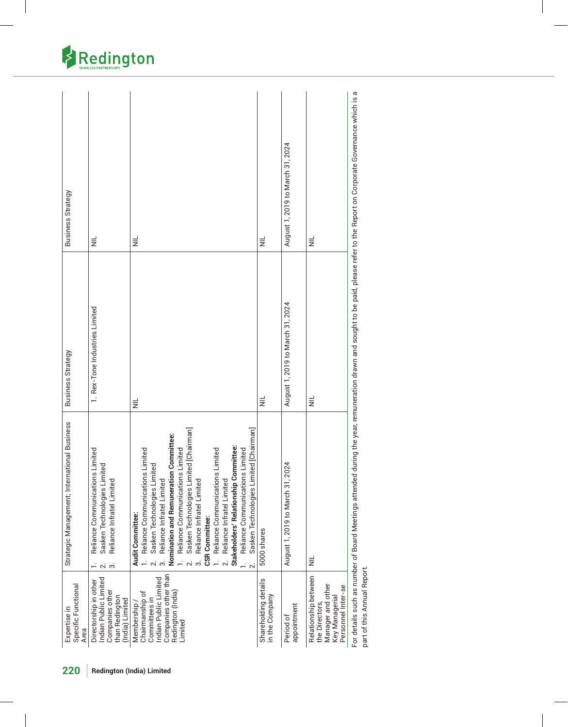| Business Strategy<br>$\equiv$                                                                                                                               | $\equiv$                                                                                                                                                                                                                                                                                                                                                                                                                                                                                                                | $\equiv$                               | August 1, 2019 to March 31, 2024   | $\equiv$                                                                                            |
|-------------------------------------------------------------------------------------------------------------------------------------------------------------|-------------------------------------------------------------------------------------------------------------------------------------------------------------------------------------------------------------------------------------------------------------------------------------------------------------------------------------------------------------------------------------------------------------------------------------------------------------------------------------------------------------------------|----------------------------------------|------------------------------------|-----------------------------------------------------------------------------------------------------|
| 1. Rex-Tone Industries Limited<br>Business Strategy                                                                                                         | $\equiv$                                                                                                                                                                                                                                                                                                                                                                                                                                                                                                                | $\equiv$                               | August 1, 2019 to March 31, 2024   | $\equiv$                                                                                            |
| Strategic Management; International Business<br>Reliance Communications Limited<br>Sasken Technologies Limited<br>Reliance Infratel Limited<br>$\sim$<br>က် | Sasken Technologies Limited [Chairman]<br>mited [Chairman]<br>Nomination and Remuneration Committee:<br>Stakeholders' Relationship Committee:<br>Reliance Communications Limited<br>Reliance Communications Limited<br>Reliance Communications Limited<br>Reliance Communications Limited<br>imited<br>Reliance Infratel Limited<br>Reliance Infratel Limited<br>Reliance Infratel Limited<br>Sasken Technologies Li<br>Sasken Technologies Li<br>Audit Committee:<br><b>CSR Committee:</b><br>$\overline{\mathcal{N}}$ | 5000 shares                            | 2024<br>August 1, 2019 to March 31 | $\equiv$                                                                                            |
| Indian Public Limited<br>Directorship in other<br>Specific Functional<br>Companies other<br>than Redington<br>(India) Limited<br>Expertise in<br>Area       | Companies other than<br>Indian Public Limited<br>Redington (India)<br>Chairmanship of<br>Committees in<br>Membership<br>Limited                                                                                                                                                                                                                                                                                                                                                                                         | Shareholding details<br>in the Company | appointment<br>Period of           | Relationship between<br>Manager and other<br>Personnel Inter-se<br>Key Managerial<br>the Directors, |

refer to the Report on Corporate Governance which is a For details such as number of Board Meetings attended during the year, remuneration drawn and sought to be paid, please refer to the Report on Corporate Governance which is a sought to be paid, please during the year, remuneration drawn and For details such as number of Board Meetings attended<br>part of this Annual Report. part of this Annual Report.

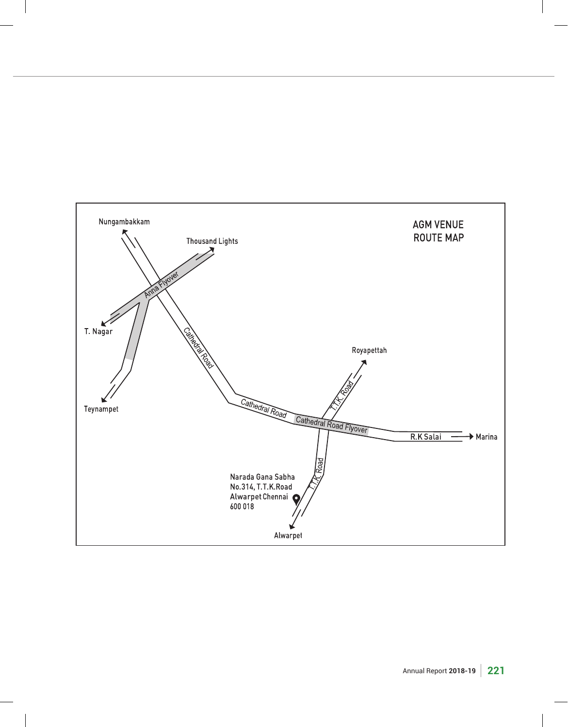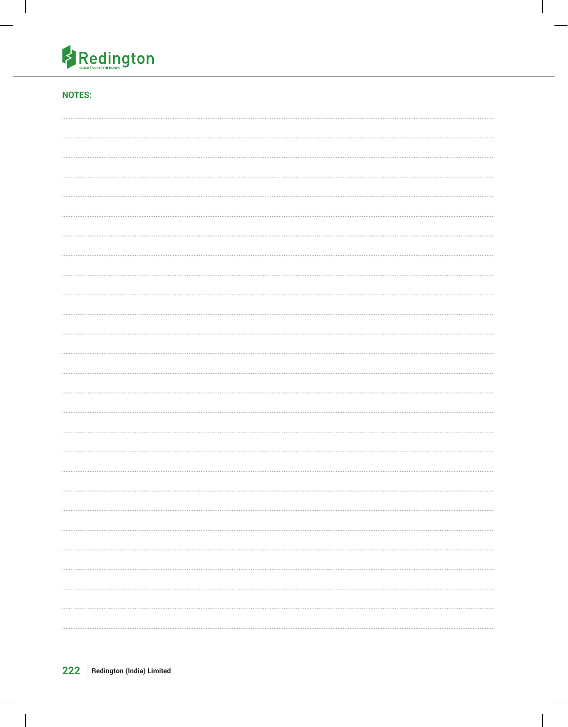

# **NOTES:**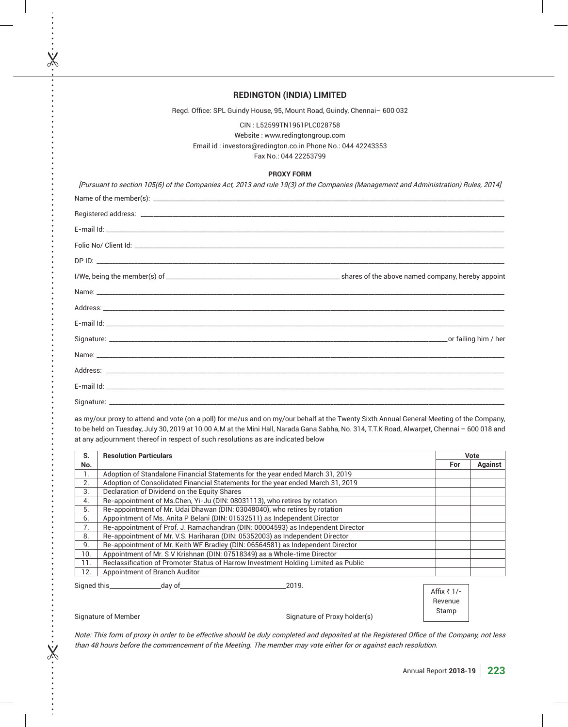| <b>REDINGTON (INDIA) LIMITED</b>                                                                                                                      |
|-------------------------------------------------------------------------------------------------------------------------------------------------------|
| Regd. Office: SPL Guindy House, 95, Mount Road, Guindy, Chennai-600 032                                                                               |
| CIN: L52599TN1961PLC028758<br>Website: www.redingtongroup.com<br>Email id: investors@redington.co.in Phone No.: 044 42243353<br>Fax No.: 044 22253799 |
| <b>PROXY FORM</b>                                                                                                                                     |
| [Pursuant to section 105(6) of the Companies Act, 2013 and rule 19(3) of the Companies (Management and Administration) Rules, 2014]                   |
|                                                                                                                                                       |
|                                                                                                                                                       |
|                                                                                                                                                       |
|                                                                                                                                                       |
|                                                                                                                                                       |
|                                                                                                                                                       |
|                                                                                                                                                       |
|                                                                                                                                                       |
|                                                                                                                                                       |
|                                                                                                                                                       |
|                                                                                                                                                       |
|                                                                                                                                                       |
|                                                                                                                                                       |
|                                                                                                                                                       |
| as my/our proxy to attend and vote (on a poll) for me/us and on my/our behalf at the Twenty Sixth Annual General Meeting of the Company,              |

to be held on Tuesday, July 30, 2019 at 10.00 A.M at the Mini Hall, Narada Gana Sabha, No. 314, T.T.K Road, Alwarpet, Chennai - 600 018 and at any adjournment thereof in respect of such resolutions as are indicated below

| S.           | <b>Resolution Particulars</b>                                                      |                          | Vote           |
|--------------|------------------------------------------------------------------------------------|--------------------------|----------------|
| No.          |                                                                                    | For                      | <b>Against</b> |
| 1.           | Adoption of Standalone Financial Statements for the year ended March 31, 2019      |                          |                |
| 2.           | Adoption of Consolidated Financial Statements for the year ended March 31, 2019    |                          |                |
| 3.           | Declaration of Dividend on the Equity Shares                                       |                          |                |
| 4.           | Re-appointment of Ms.Chen, Yi-Ju (DIN: 08031113), who retires by rotation          |                          |                |
| 5.           | Re-appointment of Mr. Udai Dhawan (DIN: 03048040), who retires by rotation         |                          |                |
| 6.           | Appointment of Ms. Anita P Belani (DIN: 01532511) as Independent Director          |                          |                |
| 7.           | Re-appointment of Prof. J. Ramachandran (DIN: 00004593) as Independent Director    |                          |                |
| 8.           | Re-appointment of Mr. V.S. Hariharan (DIN: 05352003) as Independent Director       |                          |                |
| 9.           | Re-appointment of Mr. Keith WF Bradley (DIN: 06564581) as Independent Director     |                          |                |
| 10.          | Appointment of Mr. S V Krishnan (DIN: 07518349) as a Whole-time Director           |                          |                |
| 11.          | Reclassification of Promoter Status of Harrow Investment Holding Limited as Public |                          |                |
| 12.          | Appointment of Branch Auditor                                                      |                          |                |
| Signed this_ | dav of<br>2019.                                                                    | Affix $\overline{z}$ 1/- |                |

Signature of Member

 $\cdot$   $\times$ 

 $\ddot{\cdot}$   $\ddot{\cdot}$   $\ddot{\cdot}$   $\ddot{\cdot}$   $\ddot{\cdot}$ 

 $X$ 

Signature of Proxy holder(s)

Revenue Stamp

Note: This form of proxy in order to be effective should be duly completed and deposited at the Registered Office of the Company, not less than 48 hours before the commencement of the Meeting. The member may vote either for or against each resolution.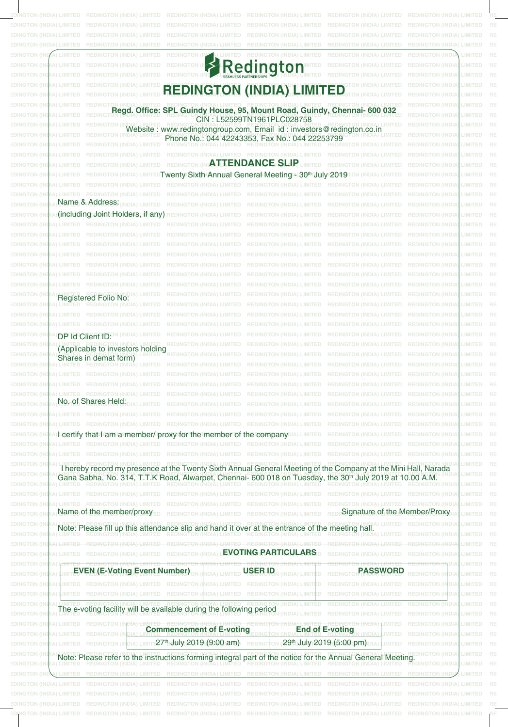|                                                                                    |                                                                                                    | REDINGTON (INDIA) LIMITED REDINGTON (INDIA) LIMITED REDINGTON (INDIA) LIMITED REDINGTON (INDIA) LIMITED RI                                                                                                                             |                                           |
|------------------------------------------------------------------------------------|----------------------------------------------------------------------------------------------------|----------------------------------------------------------------------------------------------------------------------------------------------------------------------------------------------------------------------------------------|-------------------------------------------|
| <b>EDINGTON (I)</b>                                                                |                                                                                                    |                                                                                                                                                                                                                                        |                                           |
|                                                                                    |                                                                                                    |                                                                                                                                                                                                                                        |                                           |
|                                                                                    |                                                                                                    |                                                                                                                                                                                                                                        |                                           |
| <b>EDINGTON</b><br>EDINGTON                                                        |                                                                                                    |                                                                                                                                                                                                                                        | MITED RE                                  |
| EDINGTON                                                                           | Redington                                                                                          |                                                                                                                                                                                                                                        | MITED RE                                  |
| EDINGTON (<br>EDINGTON                                                             | <b>REDINGTON (INDIA) LIMITED</b>                                                                   |                                                                                                                                                                                                                                        | MITED RI<br>MITED RI                      |
| EDINGTON (<br>EDINGTON                                                             | Regd. Office: SPL Guindy House, 95, Mount Road, Guindy, Chennai- 600 032                           |                                                                                                                                                                                                                                        | MITED<br>IITED.                           |
| :DINGTOI<br>EDING TO                                                               | CIN: L52599TN1961PLC028758<br>Website: www.redingtongroup.com, Email id: investors@redington.co.in |                                                                                                                                                                                                                                        | MITED                                     |
| :DINGTOI                                                                           | Phone No.: 044 42243353, Fax No.: 044 22253799                                                     |                                                                                                                                                                                                                                        | MITED RE<br>MITED RE                      |
| <b>EDINGTON</b><br>) I IMITED                                                      | <b>ATTENDANCE SLIP</b>                                                                             |                                                                                                                                                                                                                                        | <b>IMITED RE</b>                          |
| <b>EDINGTON (</b><br>) LIMITED<br><b>EDINGTON</b><br>) LIMITED                     | Twenty Sixth Annual General Meeting 4) 30th July 2019                                              |                                                                                                                                                                                                                                        | IMITED RE<br>IMITED RE                    |
| <b>EDINGTON (</b><br><b>INITED</b>                                                 |                                                                                                    |                                                                                                                                                                                                                                        | IMITED RE                                 |
| <b>EDINGTON (I</b><br><b>INT</b><br>Name & Address:<br><b>EDINGTON</b>             |                                                                                                    |                                                                                                                                                                                                                                        | MITED RE<br>IMITED RE                     |
| a)(including=JointdHolders, if any)<br><b>EDINGTON</b>                             |                                                                                                    |                                                                                                                                                                                                                                        | IMITED RE                                 |
| ) LIMITED<br><b>EDINGTON (I</b>                                                    |                                                                                                    |                                                                                                                                                                                                                                        | MITED RE                                  |
| <b>EDINGTON (I)</b><br>) LIMITED<br><b>EDINGTON (I)</b><br>) LIVITED               |                                                                                                    |                                                                                                                                                                                                                                        | IMITED RE<br>IMITED RE                    |
| <b>EDINGTON (I)</b><br>) LIMITED                                                   |                                                                                                    |                                                                                                                                                                                                                                        | IMITED RE                                 |
| <b>EDINGTON</b><br>) LIMITED<br><b>EDINGTON (I</b><br>) LIMITED                    |                                                                                                    |                                                                                                                                                                                                                                        | IMITED RE<br><b>IMITED RE</b>             |
| <b>EDINGTON (I</b><br>) LIMITED                                                    |                                                                                                    |                                                                                                                                                                                                                                        | IMITED RE                                 |
| <b>EDINGTON (I</b><br>Registered Folio No:<br><b>EDINGTON (I)</b>                  |                                                                                                    |                                                                                                                                                                                                                                        | IMITED RE<br>MITED RE                     |
| <b>EDINGTON</b>                                                                    |                                                                                                    |                                                                                                                                                                                                                                        | MITED RE                                  |
| <b>EDINGTON</b>                                                                    |                                                                                                    |                                                                                                                                                                                                                                        | MITED RE                                  |
| <b>EDINGTON</b><br>DP Id Client ID:<br><b>EDINGTON (I</b>                          |                                                                                                    |                                                                                                                                                                                                                                        | MITED RE<br>IMITED RE                     |
| (Applicable to investors holding<br>EDINGTON (<br>Shares in demat form)            |                                                                                                    |                                                                                                                                                                                                                                        | MITED RE                                  |
| EDINGTON:<br>$\blacksquare$<br><b>EDINGTON</b><br><b>TIMETE</b>                    |                                                                                                    |                                                                                                                                                                                                                                        | MITED RE<br>MITED RE                      |
|                                                                                    |                                                                                                    |                                                                                                                                                                                                                                        | MITED RE                                  |
| <b>EDINGTON (I)</b><br>) LIMITED REDINGTON (INDIA)<br>No. of Shares Held:          |                                                                                                    |                                                                                                                                                                                                                                        | IMITED RE                                 |
| DINGTOI<br><b>EDINGTON (I</b><br>LIMITEI                                           |                                                                                                    | REDINGTON (INDIA) LIMITED REDINGTON (INDIA) LIMITED REDINGTON (INDIA)                                                                                                                                                                  | IMITED RE<br>IMITED RE                    |
| <b>EDINGTON (I</b><br>) LIMITEI                                                    |                                                                                                    |                                                                                                                                                                                                                                        | <b>IMITED RE</b>                          |
| <b>EDINGTON</b><br>) LIMITED                                                       | I certify that I am a member/ proxy for the member of the company                                  |                                                                                                                                                                                                                                        | <b>IMITED RE</b><br>IMITED RE             |
| <b>EDINGTON (I</b><br>) LIMITED<br><b>EDINGTON (I</b>                              |                                                                                                    |                                                                                                                                                                                                                                        | IMITED RE                                 |
| <b>EDINGTON (I</b><br>EDINGTON<br><b>EDINGTON (</b><br>) LIMITED                   |                                                                                                    | I hereby record my presence at the Twenty Sixth Annual General Meeting of the Company at the Mini Hall, Narada<br>Gana Sabha, No. 314, T.T.K Road, Alwarpet, Chennai- 600 018 on Tuesday, the 30 <sup>th</sup> July 2019 at 10.00 A.M. | MITED RE<br><b>IMITED RE</b><br>IMITED RE |
| LIMITED<br><b>EDINGTON (</b><br><b>EDINGTON (I</b><br>LIMITE                       |                                                                                                    |                                                                                                                                                                                                                                        | IMITED RE<br>IMITED RE                    |
| Name of the member/proxy<br><b>EDINGTON</b>                                        |                                                                                                    | Signature of the Member/Proxy                                                                                                                                                                                                          | IMITED RE                                 |
| <b>EDINGTON (I</b><br><b>EDINGTON</b><br><b>EDINGTON</b>                           | Note: Please fill up this attendance slip and hand it over at the entrance of the meeting hall.    |                                                                                                                                                                                                                                        | IMITED RE<br><b>IMITED RE</b><br>MITED R  |
| <b>EDINGTON (II</b>                                                                | () LIMITED REDINGTON (INDIA) LIMITED REDINGTON (IND                                                | <b>EVOTING PARTICULARS</b><br><b>STON (INDIA) LIMITED REDINGTON (INDI)</b>                                                                                                                                                             | <b>IMITED RE</b>                          |
| <b>EDINGTON (I</b><br><b>EDINGTON (I)</b>                                          | <b>EVEN (E-Voting Event Number)</b><br><b>USER ID</b>                                              | <b>PASSWORD</b>                                                                                                                                                                                                                        | MITED RE<br><b>IMITED RE</b>              |
| <b>EDINGTON (I)</b>                                                                |                                                                                                    |                                                                                                                                                                                                                                        | <b>IMITED RE</b>                          |
| <b>EDINGTON (I</b><br><b>EDINGTON (</b>                                            |                                                                                                    |                                                                                                                                                                                                                                        | <b>IMITED RE</b><br>IMITED RE             |
| <b>EDINGTON</b>                                                                    | The e-voting facility will be available during the following period                                |                                                                                                                                                                                                                                        | <b>IMITED RE</b>                          |
| <b>EDINGTON (I</b><br>) LIMITED<br><b>EDINGTON (I</b><br>LIMITED                   | <b>Commencement of E-voting</b>                                                                    | <b>End of E-voting</b>                                                                                                                                                                                                                 | MITED RE<br>MITED RE                      |
| <b>EDINGTON (</b><br>LIMITED                                                       | 27 <sup>th</sup> July 2019 (9:00 am)                                                               | (29th July 2019 (5:00 pm)<br><b>ITED</b>                                                                                                                                                                                               | MITED RI                                  |
| <b>EDINGTON</b><br><b>EDINGTON (I</b><br>$\cup$ $\cup$ $\cup$ $\cup$ $\cup$ $\cup$ |                                                                                                    | Note: Please refer to the instructions forming integral part of the notice for the Annual General Meeting.                                                                                                                             | MITED<br>MITED RE                         |
| <b>EDINGTON</b>                                                                    |                                                                                                    |                                                                                                                                                                                                                                        | ITED RE                                   |
| EDINGTON                                                                           |                                                                                                    |                                                                                                                                                                                                                                        |                                           |
|                                                                                    |                                                                                                    |                                                                                                                                                                                                                                        |                                           |
|                                                                                    |                                                                                                    |                                                                                                                                                                                                                                        |                                           |
|                                                                                    |                                                                                                    |                                                                                                                                                                                                                                        |                                           |

**REDINGTON (INDIA) LIMITED REDINGTON (INDIA) LIMITED REDINGTON (INDIA) LIMITED REDINGTON (INDIA) LIMITED REDINGTON (INDIA) LIMITED REDINGTON (INDIA) LIMITED REDINGTON (INDIA) LIMITED** 

**REDINGTON (INDIA) LIMITED REDINGTON (INDIA) LIMITED REDINGTON (INDIA) LIMITED REDINGTON (INDIA) LIMITED REDINGTON (INDIA) LIMITED REDINGTON (INDIA) LIMITED REDINGTON (INDIA) LIMITED**